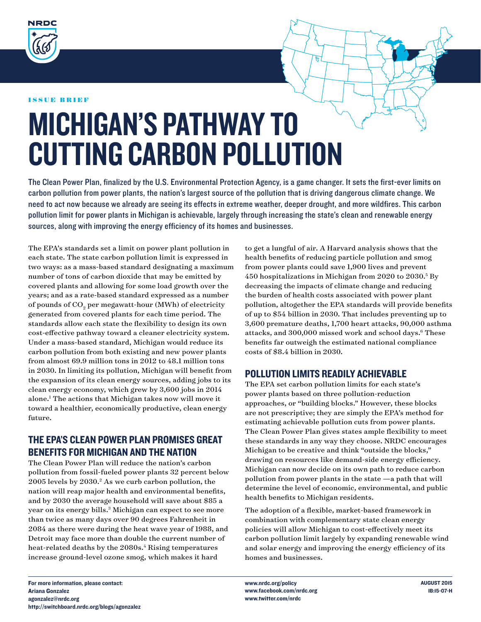

#### issue brief

# Michigan's Pathway to Cutting Carbon Pollution

The Clean Power Plan, finalized by the U.S. Environmental Protection Agency, is a game changer. It sets the first-ever limits on carbon pollution from power plants, the nation's largest source of the pollution that is driving dangerous climate change. We need to act now because we already are seeing its effects in extreme weather, deeper drought, and more wildfires. This carbon pollution limit for power plants in Michigan is achievable, largely through increasing the state's clean and renewable energy sources, along with improving the energy efficiency of its homes and businesses.

The EPA's standards set a limit on power plant pollution in each state. The state carbon pollution limit is expressed in two ways: as a mass-based standard designating a maximum number of tons of carbon dioxide that may be emitted by covered plants and allowing for some load growth over the years; and as a rate-based standard expressed as a number of pounds of CO<sub>2</sub> per megawatt-hour (MWh) of electricity generated from covered plants for each time period. The standards allow each state the flexibility to design its own cost-effective pathway toward a cleaner electricity system. Under a mass-based standard, Michigan would reduce its carbon pollution from both existing and new power plants from almost 69.9 million tons in 2012 to 48.1 million tons in 2030. In limiting its pollution, Michigan will benefit from the expansion of its clean energy sources, adding jobs to its clean energy economy, which grew by 3,600 jobs in 2014 alone.<sup>1</sup> The actions that Michigan takes now will move it toward a healthier, economically productive, clean energy future.

# The EPA's Clean Power Plan Promises Great Benefits for Michigan and the Nation

The Clean Power Plan will reduce the nation's carbon pollution from fossil-fueled power plants 32 percent below 2005 levels by 2030.2 As we curb carbon pollution, the nation will reap major health and environmental benefits, and by 2030 the average household will save about \$85 a year on its energy bills.<sup>3</sup> Michigan can expect to see more than twice as many days over 90 degrees Fahrenheit in 2084 as there were during the heat wave year of 1988, and Detroit may face more than double the current number of heat-related deaths by the 2080s.<sup>4</sup> Rising temperatures increase ground-level ozone smog, which makes it hard

to get a lungful of air. A Harvard analysis shows that the health benefits of reducing particle pollution and smog from power plants could save 1,900 lives and prevent 450 hospitalizations in Michigan from 2020 to 2030.5 By decreasing the impacts of climate change and reducing the burden of health costs associated with power plant pollution, altogether the EPA standards will provide benefits of up to \$54 billion in 2030. That includes preventing up to 3,600 premature deaths, 1,700 heart attacks, 90,000 asthma attacks, and 300,000 missed work and school days.<sup>6</sup> These benefits far outweigh the estimated national compliance costs of \$8.4 billion in 2030.

# Pollution Limits Readily Achievable

The EPA set carbon pollution limits for each state's power plants based on three pollution-reduction approaches, or "building blocks." However, these blocks are not prescriptive; they are simply the EPA's method for estimating achievable pollution cuts from power plants. The Clean Power Plan gives states ample flexibility to meet these standards in any way they choose. NRDC encourages Michigan to be creative and think "outside the blocks," drawing on resources like demand-side energy efficiency. Michigan can now decide on its own path to reduce carbon pollution from power plants in the state —a path that will determine the level of economic, environmental, and public health benefits to Michigan residents.

The adoption of a flexible, market-based framework in combination with complementary state clean energy policies will allow Michigan to cost-effectively meet its carbon pollution limit largely by expanding renewable wind and solar energy and improving the energy efficiency of its homes and businesses.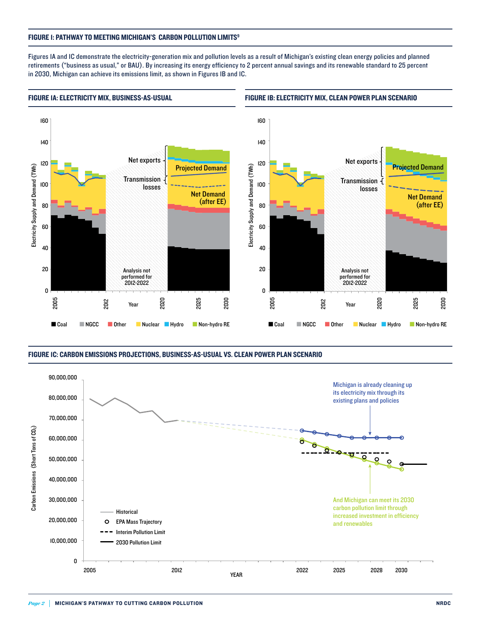#### FIGURE 1: PATHWAY TO MEETING MICHIGAN'S CARBON POLLUTION LIMITS<sup>9</sup>

Figures 1A and 1C demonstrate the electricity-generation mix and pollution levels as a result of Michigan's existing clean energy policies and planned retirements ("business as usual," or BAU). By increasing its energy efficiency to 2 percent annual savings and its renewable standard to 25 percent in 2030, Michigan can achieve its emissions limit, as shown in Figures 1B and 1C.



#### Figure 1C: Carbon Emissions Projections, Business-as-Usual vs. Clean Power Plan Scenario

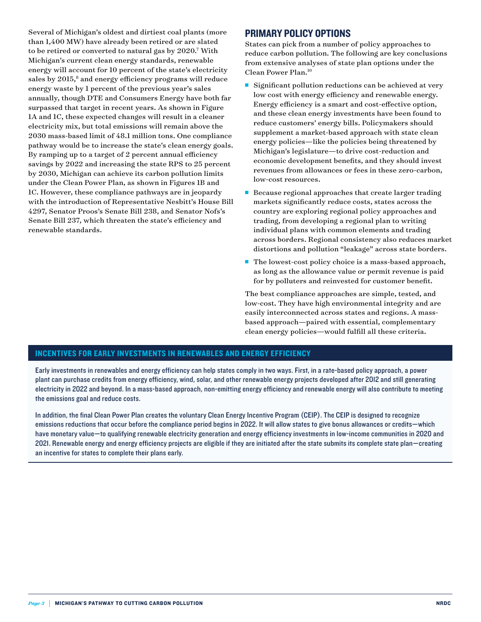Several of Michigan's oldest and dirtiest coal plants (more than 1,400 MW) have already been retired or are slated to be retired or converted to natural gas by 2020.7 With Michigan's current clean energy standards, renewable energy will account for 10 percent of the state's electricity sales by 2015,<sup>8</sup> and energy efficiency programs will reduce energy waste by 1 percent of the previous year's sales annually, though DTE and Consumers Energy have both far surpassed that target in recent years. As shown in Figure 1A and 1C, these expected changes will result in a cleaner electricity mix, but total emissions will remain above the 2030 mass-based limit of 48.1 million tons. One compliance pathway would be to increase the state's clean energy goals. By ramping up to a target of 2 percent annual efficiency savings by 2022 and increasing the state RPS to 25 percent by 2030, Michigan can achieve its carbon pollution limits under the Clean Power Plan, as shown in Figures 1B and 1C. However, these compliance pathways are in jeopardy with the introduction of Representative Nesbitt's House Bill 4297, Senator Proos's Senate Bill 238, and Senator Nofs's Senate Bill 237, which threaten the state's efficiency and renewable standards.

## Primary Policy Options

States can pick from a number of policy approaches to reduce carbon pollution. The following are key conclusions from extensive analyses of state plan options under the Clean Power Plan.10

- $\blacksquare$  Significant pollution reductions can be achieved at very low cost with energy efficiency and renewable energy. Energy efficiency is a smart and cost-effective option, and these clean energy investments have been found to reduce customers' energy bills. Policymakers should supplement a market-based approach with state clean energy policies—like the policies being threatened by Michigan's legislature—to drive cost-reduction and economic development benefits, and they should invest revenues from allowances or fees in these zero-carbon, low-cost resources.
- $\blacksquare$  Because regional approaches that create larger trading markets significantly reduce costs, states across the country are exploring regional policy approaches and trading, from developing a regional plan to writing individual plans with common elements and trading across borders. Regional consistency also reduces market distortions and pollution "leakage" across state borders.
- The lowest-cost policy choice is a mass-based approach, as long as the allowance value or permit revenue is paid for by polluters and reinvested for customer benefit.

The best compliance approaches are simple, tested, and low-cost. They have high environmental integrity and are easily interconnected across states and regions. A massbased approach—paired with essential, complementary clean energy policies—would fulfill all these criteria.

## Incentives for Early Investments in Renewables and Energy Efficiency

Early investments in renewables and energy efficiency can help states comply in two ways. First, in a rate-based policy approach, a power plant can purchase credits from energy efficiency, wind, solar, and other renewable energy projects developed after 2012 and still generating electricity in 2022 and beyond. In a mass-based approach, non-emitting energy efficiency and renewable energy will also contribute to meeting the emissions goal and reduce costs.

In addition, the final Clean Power Plan creates the voluntary Clean Energy Incentive Program (CEIP). The CEIP is designed to recognize emissions reductions that occur before the compliance period begins in 2022. It will allow states to give bonus allowances or credits—which have monetary value—to qualifying renewable electricity generation and energy efficiency investments in low-income communities in 2020 and 2021. Renewable energy and energy efficiency projects are eligible if they are initiated after the state submits its complete state plan—creating an incentive for states to complete their plans early.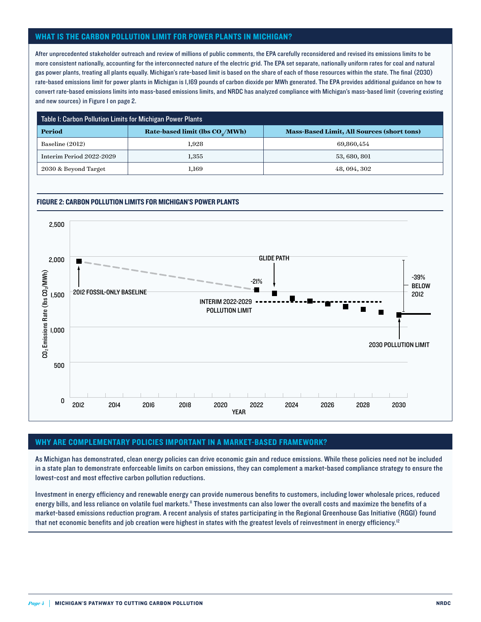### What is the carbon pollution limit for power plants in Michigan?

After unprecedented stakeholder outreach and review of millions of public comments, the EPA carefully reconsidered and revised its emissions limits to be more consistent nationally, accounting for the interconnected nature of the electric grid. The EPA set separate, nationally uniform rates for coal and natural gas power plants, treating all plants equally. Michigan's rate-based limit is based on the share of each of those resources within the state. The final (2030) rate-based emissions limit for power plants in Michigan is 1,169 pounds of carbon dioxide per MWh generated. The EPA provides additional guidance on how to convert rate-based emissions limits into mass-based emissions limits, and NRDC has analyzed compliance with Michigan's mass-based limit (covering existing and new sources) in Figure 1 on page 2.

| Table I: Carbon Pollution Limits for Michigan Power Plants |                                   |                                                   |  |
|------------------------------------------------------------|-----------------------------------|---------------------------------------------------|--|
| Period                                                     | Rate-based limit (lbs $COs/MWh$ ) | <b>Mass-Based Limit, All Sources (short tons)</b> |  |
| Baseline (2012)                                            | $1.928\,$                         | 69,860,454                                        |  |
| Interim Period 2022-2029                                   | $1.355\,$                         | 53, 680, 801                                      |  |
| 2030 & Beyond Target                                       | 1.169                             | 48, 094, 302                                      |  |

#### Figure 2: Carbon Pollution Limits for Michigan's Power Plants



#### Why are complementary policies important in a market-based framework?

As Michigan has demonstrated, clean energy policies can drive economic gain and reduce emissions. While these policies need not be included in a state plan to demonstrate enforceable limits on carbon emissions, they can complement a market-based compliance strategy to ensure the lowest-cost and most effective carbon pollution reductions.

Investment in energy efficiency and renewable energy can provide numerous benefits to customers, including lower wholesale prices, reduced energy bills, and less reliance on volatile fuel markets." These investments can also lower the overall costs and maximize the benefits of a market-based emissions reduction program. A recent analysis of states participating in the Regional Greenhouse Gas Initiative (RGGI) found that net economic benefits and job creation were highest in states with the greatest levels of reinvestment in energy efficiency.<sup>12</sup>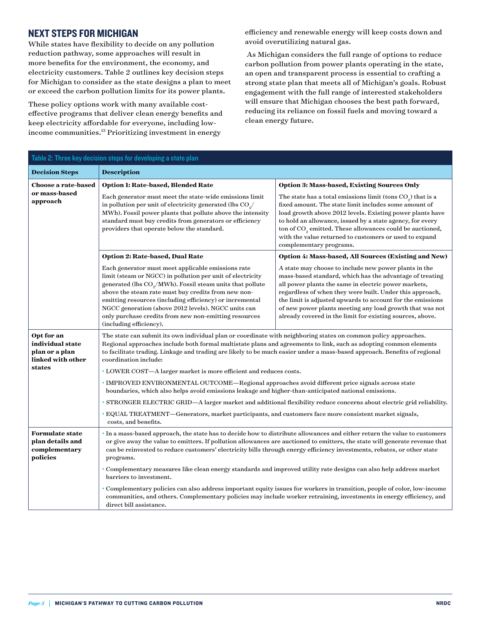## Next Steps for Michigan

While states have flexibility to decide on any pollution reduction pathway, some approaches will result in more benefits for the environment, the economy, and electricity customers. Table 2 outlines key decision steps for Michigan to consider as the state designs a plan to meet or exceed the carbon pollution limits for its power plants.

These policy options work with many available costeffective programs that deliver clean energy benefits and keep electricity affordable for everyone, including lowincome communities.<sup>13</sup> Prioritizing investment in energy

efficiency and renewable energy will keep costs down and avoid overutilizing natural gas.

 As Michigan considers the full range of options to reduce carbon pollution from power plants operating in the state, an open and transparent process is essential to crafting a strong state plan that meets all of Michigan's goals. Robust engagement with the full range of interested stakeholders will ensure that Michigan chooses the best path forward, reducing its reliance on fossil fuels and moving toward a clean energy future.

| Table 2: Three key decision steps for developing a state plan                   |                                                                                                                                                                                                                                                                                                                                                                                                                                                         |                                                                                                                                                                                                                                                                                                                                                                                                                              |  |
|---------------------------------------------------------------------------------|---------------------------------------------------------------------------------------------------------------------------------------------------------------------------------------------------------------------------------------------------------------------------------------------------------------------------------------------------------------------------------------------------------------------------------------------------------|------------------------------------------------------------------------------------------------------------------------------------------------------------------------------------------------------------------------------------------------------------------------------------------------------------------------------------------------------------------------------------------------------------------------------|--|
| <b>Decision Steps</b>                                                           | <b>Description</b>                                                                                                                                                                                                                                                                                                                                                                                                                                      |                                                                                                                                                                                                                                                                                                                                                                                                                              |  |
| Choose a rate-based<br>or mass-based<br>approach                                | Option 1: Rate-based, Blended Rate                                                                                                                                                                                                                                                                                                                                                                                                                      | <b>Option 3: Mass-based, Existing Sources Only</b>                                                                                                                                                                                                                                                                                                                                                                           |  |
|                                                                                 | Each generator must meet the state-wide emissions limit<br>in pollution per unit of electricity generated (lbs CO <sub>2</sub> /<br>MWh). Fossil power plants that pollute above the intensity<br>standard must buy credits from generators or efficiency<br>providers that operate below the standard.                                                                                                                                                 | The state has a total emissions limit (tons $CO2$ ) that is a<br>fixed amount. The state limit includes some amount of<br>load growth above 2012 levels. Existing power plants have<br>to hold an allowance, issued by a state agency, for every<br>ton of $\mathrm{CO}_\mathrm{g}$ emitted. These allowances could be auctioned,<br>with the value returned to customers or used to expand<br>complementary programs.       |  |
|                                                                                 | <b>Option 2: Rate-based, Dual Rate</b>                                                                                                                                                                                                                                                                                                                                                                                                                  | Option 4: Mass-based, All Sources (Existing and New)                                                                                                                                                                                                                                                                                                                                                                         |  |
|                                                                                 | Each generator must meet applicable emissions rate<br>limit (steam or NGCC) in pollution per unit of electricity<br>generated (lbs CO <sub>2</sub> /MWh). Fossil steam units that pollute<br>above the steam rate must buy credits from new non-<br>emitting resources (including efficiency) or incremental<br>NGCC generation (above 2012 levels). NGCC units can<br>only purchase credits from new non-emitting resources<br>(including efficiency). | A state may choose to include new power plants in the<br>mass-based standard, which has the advantage of treating<br>all power plants the same in electric power markets,<br>regardless of when they were built. Under this approach,<br>the limit is adjusted upwards to account for the emissions<br>of new power plants meeting any load growth that was not<br>already covered in the limit for existing sources, above. |  |
| Opt for an<br>individual state<br>plan or a plan<br>linked with other<br>states | The state can submit its own individual plan or coordinate with neighboring states on common policy approaches.<br>Regional approaches include both formal multistate plans and agreements to link, such as adopting common elements<br>to facilitate trading. Linkage and trading are likely to be much easier under a mass-based approach. Benefits of regional<br>coordination include:                                                              |                                                                                                                                                                                                                                                                                                                                                                                                                              |  |
|                                                                                 | • LOWER COST-A larger market is more efficient and reduces costs.                                                                                                                                                                                                                                                                                                                                                                                       |                                                                                                                                                                                                                                                                                                                                                                                                                              |  |
|                                                                                 | · IMPROVED ENVIRONMENTAL OUTCOME—Regional approaches avoid different price signals across state<br>boundaries, which also helps avoid emissions leakage and higher-than-anticipated national emissions.                                                                                                                                                                                                                                                 |                                                                                                                                                                                                                                                                                                                                                                                                                              |  |
|                                                                                 | · STRONGER ELECTRIC GRID-A larger market and additional flexibility reduce concerns about electric grid reliability.                                                                                                                                                                                                                                                                                                                                    |                                                                                                                                                                                                                                                                                                                                                                                                                              |  |
|                                                                                 | · EQUAL TREATMENT—Generators, market participants, and customers face more consistent market signals,<br>costs, and benefits.                                                                                                                                                                                                                                                                                                                           |                                                                                                                                                                                                                                                                                                                                                                                                                              |  |
| <b>Formulate state</b><br>plan details and<br>complementary<br>policies         | · In a mass-based approach, the state has to decide how to distribute allowances and either return the value to customers<br>or give away the value to emitters. If pollution allowances are auctioned to emitters, the state will generate revenue that<br>can be reinvested to reduce customers' electricity bills through energy efficiency investments, rebates, or other state<br>programs.                                                        |                                                                                                                                                                                                                                                                                                                                                                                                                              |  |
|                                                                                 | • Complementary measures like clean energy standards and improved utility rate designs can also help address market<br>barriers to investment.                                                                                                                                                                                                                                                                                                          |                                                                                                                                                                                                                                                                                                                                                                                                                              |  |
|                                                                                 | · Complementary policies can also address important equity issues for workers in transition, people of color, low-income<br>communities, and others. Complementary policies may include worker retraining, investments in energy efficiency, and<br>direct bill assistance.                                                                                                                                                                             |                                                                                                                                                                                                                                                                                                                                                                                                                              |  |